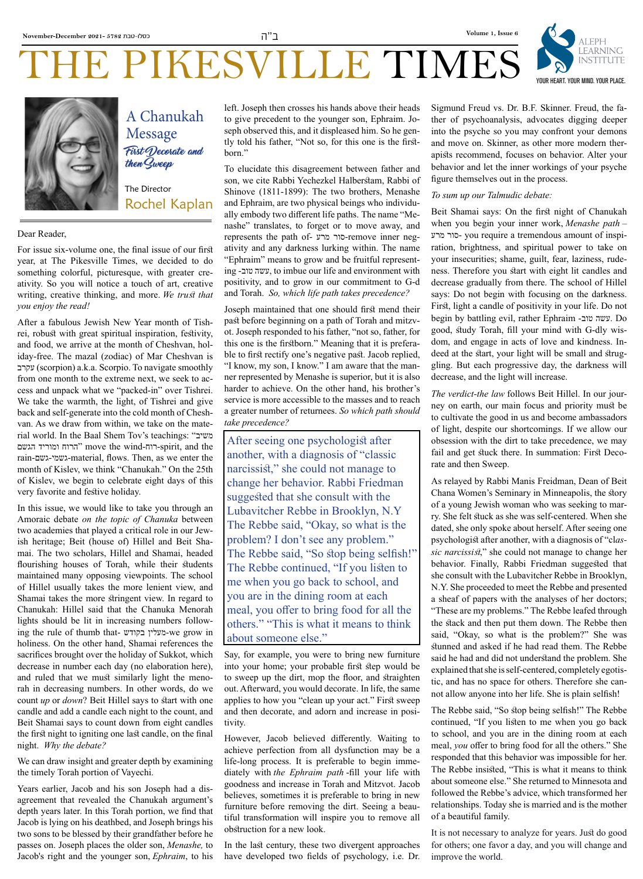

## THE PIKESVILLE TIMES



#### Dear Reader,

For issue six-volume one, the final issue of our first year, at The Pikesville Times, we decided to do something colorful, picturesque, with greater creativity. So you will notice a touch of art, creative writing, creative thinking, and more. *We trust that you enjoy the read!*

The Director

then Sweep

Message

Rochel Kaplan

A Chanukah

First Decorate and

After a fabulous Jewish New Year month of Tishrei, robust with great spiritual inspiration, festivity, and food, we arrive at the month of Cheshvan, holiday-free. The mazal (zodiac) of Mar Cheshvan is עקרב) scorpion) a.k.a. Scorpio. To navigate smoothly from one month to the extreme next, we seek to access and unpack what we "packed-in" over Tishrei. We take the warmth, the light, of Tishrei and give back and self-generate into the cold month of Cheshvan. As we draw from within, we take on the material world. In the Baal Shem Tov's teachings: "משיב הגשם ומוריד הרוח "move the wind-רוח-spirit, and the rain-גשם-גשמי-material, flows. Then, as we enter the month of Kislev, we think "Chanukah." On the 25th of Kislev, we begin to celebrate eight days of this very favorite and festive holiday.

In this issue, we would like to take you through an Amoraic debate *on the topic of Chanuka* between two academies that played a critical role in our Jewish heritage; Beit (house of) Hillel and Beit Shamai. The two scholars, Hillel and Shamai, headed flourishing houses of Torah, while their students maintained many opposing viewpoints. The school of Hillel usually takes the more lenient view, and Shamai takes the more stringent view. In regard to Chanukah: Hillel said that the Chanuka Menorah lights should be lit in increasing numbers following the rule of thumb that- בקודש מעלין-we grow in holiness. On the other hand, Shamai references the sacrifices brought over the holiday of Sukkot, which decrease in number each day (no elaboration here), and ruled that we must similarly light the menorah in decreasing numbers. In other words, do we count *up* or *down*? Beit Hillel says to start with one candle and add a candle each night to the count, and Beit Shamai says to count down from eight candles the first night to igniting one last candle, on the final night. *Why the debate?*

We can draw insight and greater depth by examining the timely Torah portion of Vayechi.

Years earlier, Jacob and his son Joseph had a disagreement that revealed the Chanukah argument's depth years later. In this Torah portion, we find that Jacob is lying on his deathbed, and Joseph brings his two sons to be blessed by their grandfather before he passes on. Joseph places the older son, *Menashe,* to Jacob's right and the younger son, *Ephraim*, to his left. Joseph then crosses his hands above their heads to give precedent to the younger son, Ephraim. Joseph observed this, and it displeased him. So he gently told his father, "Not so, for this one is the firstborn."

To elucidate this disagreement between father and son, we cite Rabbi Yechezkel Halberstam, Rabbi of Shinove (1811-1899): The two brothers, Menashe and Ephraim, are two physical beings who individually embody two different life paths. The name "Menashe" translates, to forget or to move away, and represents the path of- מרע סור-remove inner negativity and any darkness lurking within. The name "Ephraim" means to grow and be fruitful representing -טוב עשה, to imbue our life and environment with positivity, and to grow in our commitment to G-d and Torah. *So, which life path takes precedence?*

Joseph maintained that one should first mend their past before beginning on a path of Torah and mitzvot. Joseph responded to his father, "not so, father, for this one is the firstborn." Meaning that it is preferable to first rectify one's negative past. Jacob replied, "I know, my son, I know." I am aware that the manner represented by Menashe is superior, but it is also harder to achieve. On the other hand, his brother's service is more accessible to the masses and to reach a greater number of returnees. *So which path should take precedence?*

After seeing one psychologist after another, with a diagnosis of "classic narcissist," she could not manage to change her behavior. Rabbi Friedman suggested that she consult with the Lubavitcher Rebbe in Brooklyn, N.Y The Rebbe said, "Okay, so what is the problem? I don't see any problem." The Rebbe said, "So stop being selfish!" The Rebbe continued, "If you listen to me when you go back to school, and you are in the dining room at each meal, you offer to bring food for all the others." "This is what it means to think about someone else."

Say, for example, you were to bring new furniture into your home; your probable first step would be to sweep up the dirt, mop the floor, and straighten out. Afterward, you would decorate. In life, the same applies to how you "clean up your act." First sweep and then decorate, and adorn and increase in positivity.

However, Jacob believed differently. Waiting to achieve perfection from all dysfunction may be a life-long process. It is preferable to begin immediately with *the Ephraim path* -fill your life with goodness and increase in Torah and Mitzvot. Jacob believes, sometimes it is preferable to bring in new furniture before removing the dirt. Seeing a beautiful transformation will inspire you to remove all obstruction for a new look.

In the last century, these two divergent approaches have developed two fields of psychology, i.e. Dr. Sigmund Freud vs. Dr. B.F. Skinner. Freud, the father of psychoanalysis, advocates digging deeper into the psyche so you may confront your demons and move on. Skinner, as other more modern therapists recommend, focuses on behavior. Alter your behavior and let the inner workings of your psyche figure themselves out in the process.

#### *To sum up our Talmudic debate:*

Beit Shamai says: On the first night of Chanukah when you begin your inner work, *Menashe path* – מרע סור- you require a tremendous amount of inspiration, brightness, and spiritual power to take on your insecurities; shame, guilt, fear, laziness, rudeness. Therefore you start with eight lit candles and decrease gradually from there. The school of Hillel says: Do not begin with focusing on the darkness. First, light a candle of positivity in your life. Do not begin by battling evil, rather Ephraim -טוב עשה. Do good, study Torah, fill your mind with G-dly wisdom, and engage in acts of love and kindness. Indeed at the start, your light will be small and struggling. But each progressive day, the darkness will decrease, and the light will increase.

*The verdict-the law* follows Beit Hillel. In our journey on earth, our main focus and priority must be to cultivate the good in us and become ambassadors of light, despite our shortcomings. If we allow our obsession with the dirt to take precedence, we may fail and get stuck there. In summation: First Decorate and then Sweep.

As relayed by Rabbi Manis Freidman, Dean of Beit Chana Women's Seminary in Minneapolis, the story of a young Jewish woman who was seeking to marry. She felt stuck as she was self-centered. When she dated, she only spoke about herself. After seeing one psychologist after another, with a diagnosis of "cl*assic narcissist*," she could not manage to change her behavior. Finally, Rabbi Friedman suggested that she consult with the Lubavitcher Rebbe in Brooklyn, N.Y. She proceeded to meet the Rebbe and presented a sheaf of papers with the analyses of her doctors; "These are my problems." The Rebbe leafed through the stack and then put them down. The Rebbe then said, "Okay, so what is the problem?" She was stunned and asked if he had read them. The Rebbe said he had and did not understand the problem. She explained that she is self-centered, completely egotistic, and has no space for others. Therefore she cannot allow anyone into her life. She is plain selfish!

The Rebbe said, "So stop being selfish!" The Rebbe continued, "If you listen to me when you go back to school, and you are in the dining room at each meal, *you* offer to bring food for all the others." She responded that this behavior was impossible for her. The Rebbe insisted, "This is what it means to think about someone else." She returned to Minnesota and followed the Rebbe's advice, which transformed her relationships. Today she is married and is the mother of a beautiful family.

It is not necessary to analyze for years. Just do good for others; one favor a day, and you will change and improve the world.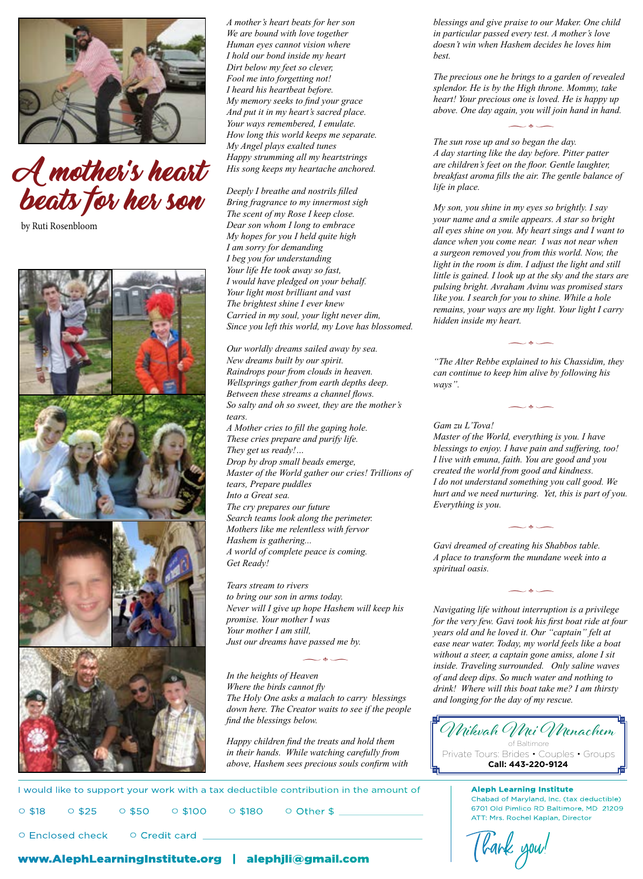

#### A mother's heart His song keeps my heartache beats for her son **Pirkel Avot 2:4: Avot 2:4: In the book of Tanya man under the Indian United States of Tanya man under the book of Tanya man under the book of Tanya man under the book of Tanya man until the in place. CHILD'S CHILD'SONU** Bring fragrance to my innermost sign  $My$  son, you shine in my eyes so brightly.

by Ruti Rosenbloom



○ Enclosed check

*A mother's heart beats for her son We are bound with love together Human eyes cannot vision where I hold our bond inside my heart Dirt below my feet so clever, Fool me into forgetting not! I heard his heartbeat before. My memory seeks to find your grace And put it in my heart's sacred place. Your ways remembered, I emulate. How long this world keeps me separate. My Angel plays exalted tunes Happy strumming all my heartstrings*  A lesson from His song keeps my heartache anchored.

*Deeply I breathe and nostrils filled Bring fragrance to my innermost sigh The scent of my Rose I keep close.* vour name and a smile appears. A state<br>
viewed in the context of the context of the context of the context of the bigger of the bigger of the bigger o *My hopes for you I held quite high*<br>dance when you come need *I am sorry for demanding I beg you for understanding Your life He took away so fast, I would have pledged on your behalf. Your light most brilliant and vast The brightest shine I ever knew*  **Since you left this world, my Love has blossomed.** The matter inside my heart.

**ch.30, Rabbi Shinuer Shinuer Shinuer Zalman of Liadi, expounds upon the Calman of Liadi, exponential exponential exponential exponential exponential exponential exponential explains of the Calman of the Calman of the Calm** New dreams built by our spirit. "The Alter Rebbe explained to **picture, it become a space of the space of the space of the space of the spade and space and space and space a** fa *Wellsprings gather from earth depths deep.* ways " *Between these streams a channel flows.*<br>Between these streams a channel flows.  $S_0$  salty and oh so sweet, they are the mother's  $\sim$ *tears. Exercisence is the tears.*<br> *A Mother cries to fill the gaping hole.* Gam zu L'Tova! **These cries prepare and purify life.** Master of the World, everyth *They get us ready!…*  **Drop by drop small beads emerge,** The person meant well, or the person meant faith what to proper person meant o *Master of the World gather our cries! Trillions of* created the world from good an *tears, Prepare puddles Into a Great sea. The cry prepares our future berrything is you. Search teams look along the perimeter.*<br>Search teams look along the perimeter.  $M$  better teams took drong the permeter. *Hashem is gathering... A world of complete peace is coming. Get Ready!*  **instance in the Raindrops pour from clouds in heaven.** Can continue to keep him alive by following his can continue to keep him alive by following his *Hashem is gathering...*<br> *is true when it complete position when* when we speak the same process is set in more process is set in the speak position of creating his Shabbos table. A world of complete peace is coming.<br>Get Ready!<br>The Get Ready! well. For example, the can negatively example, the spiritual oasis.  $\mathcal{A}$  to the 11th century Spanish Talmudist, Rabbi  $\mathcal{A}$  and  $\mathcal{A}$  of  $\mathcal{A}$  of  $\mathcal{A}$  of  $\mathcal{A}$  of  $\mathcal{A}$  of  $\mathcal{A}$  of  $\mathcal{A}$  of  $\mathcal{A}$  of  $\mathcal{A}$  of  $\mathcal{A}$  of  $\mathcal{A}$  of  $\mathcal{A}$  of  $\mathcal{A}$  o

> **incremental harm is being influental harmonic subtly. The influental harmonic subtly. The intervention of the intervention of the intervention of the intervention of the intervention of the intervention of the interventio our mother I was** *but mother I was for the very few. Gavi tochers*, server to promise. Your mother I was *Your mother I am still, Just our dreams have passed me by.*

*In the heights of Heaven Where the birds cannot fly* The Holy One asks a malach to carry blessings and longing for the day of my rescue. *down here. The Creator waits to see if the people* down here. The Creator waits to see if the people *find the blessings below.* **Extended** that the actual speech that is property the people find the blessings below.

 $\overline{\phantom{a}}$   $\bullet$   $\overline{\phantom{a}}$ 

**the actual speech that is a the actual speech that proprietation**  $\theta$  of  $\theta$ **unsavory as a** *uniform in their hands. While watching carefully from* $\parallel$  **Private T** *above, Hashem sees precious souls confirm with* 

*blessings and give praise to our Maker. One child in particular passed every test. A mother's love doesn't win when Hashem decides he loves him best.*

*The precious one he brings to a garden of revealed splendor. He is by the High throne. Mommy, take heart! Your precious one is loved. He is happy up above. One day again, you will join hand in hand.*

 $\overline{\phantom{a}}$   $\bullet$   $\overline{\phantom{a}}$ 

*The sun rose up and so began the day. A day Angel plays exalted tunes*<br> *A day starting like the day before. Pitter patter Homming all my heartstrings A day starting like the day before. Pitter patter are children's feet on the floor. Gentle laughter, breakfast aroma fills the air. The gentle balance of life in place.*

*My son, you shine in my eyes so brightly. I say your name and a smile appears. A star so bright all eyes shine on you. My heart sings and I want to dance when you come near.* I was not near when **picture**, it is in a favorable light of the space when you come near. I was not near when *a surgeon removed you from this world. Now, the a* blind exercise to a surgeon removed you from this world. Now, the *I* beg you for understanding *light in the room is dim. I adjust the light and still little is gained. I look up at the sky and the stars are pulsing bright. Avraham Avinu was promised stars*  Tour light most briuliant and vast<br>The brightest shine I ever knew the state of the search for you to shine. While a hole *remains, your ways are my light. Your light I carry hidden inside my heart.*

> *"The Alter Rebbe explained to his Chassidim, they ways".*

> > $\overline{\phantom{a}}$   $\bullet$   $\overline{\phantom{a}}$

 $\overline{\phantom{a}}$   $\bullet$   $\overline{\phantom{a}}$ 

*Gam zu L'Tova! Master of the World, everything is you. I have*  **1. The get us ready!** The facts:  $\frac{1}{2}$  blessings to enjoy. I have pain and suffering, too! *I live with emuna, faith. You are good and you created the world from good and kindness. I muster of the Horta gamer our cries: Triatons of I do not understand something you call good. We I do not understand something you call good. We Into a Great sea. hurt and we need nurturing. Yet, this is part of you. Everything is you.*

 $\overline{\phantom{a}}$   $\bullet$   $\overline{\phantom{a}}$ 

 $\sim$  db  $\sim$ 

*Navigating life without interruption is a privilege for the very few. Gavi took his first boat ride at four for the very few. Gavi took his first boat ride at four*<br>*Your mother I am still source of and he loved it. Our "cantain" felt at* **empower and magnify those good is a negative community that is a negative community that is a negative community those good to absorpt and he loved it. Our "captain" felt at negative talk is a community of the is a community of the mitater of the mitater.** It is a common of the mitater to boat *dieds* is included in the mitater. It is included in the mitater. It is included in the mitater of *without a steer, a captain gone amiss, alone I sit*  $\sim$   $\bullet$   $\sim$ inside. Traveling surrounded. Only saline waves *of and deep dips. So much water and nothing to drink! Where the birds cannot fly* and deep alps. So much water and holding to<br> *Where the birds cannot fly drink! Where will this boat take me? I am thirsty and longing for the day of my rescue.*

 $\frac{1}{2}$   $\frac{1}{2}$   $\frac{1}{2}$   $\frac{1}{2}$   $\frac{1}{2}$   $\frac{1}{2}$   $\frac{1}{2}$   $\frac{1}{2}$   $\frac{1}{2}$   $\frac{1}{2}$   $\frac{1}{2}$   $\frac{1}{2}$   $\frac{1}{2}$   $\frac{1}{2}$   $\frac{1}{2}$   $\frac{1}{2}$   $\frac{1}{2}$   $\frac{1}{2}$   $\frac{1}{2}$   $\frac{1}{2}$   $\frac{1}{2}$   $\frac{1}{2}$  of Baltimore Private Tours: Brides • Couples • Groups **Call: 443-220-9124**

**Aleph Learning Institute Chabad of Maryland, Inc. (tax deductible)** 6701 Old Pimlico RD Baltimore, MD 21209 Chabad of Maryland, Inc. (tax deductible) 6701 Old Pimlico RD Baltimore, MD 21209 ATT: Mrs. Rochel Kaplan, Director ATT: Mrs. Rochel Kaplan, Director

Tlank you!

#### www.AlephLearningInstitute.org | alephjli@gmail.com

○ Credit card

○ \$18 ○ \$25 ○ \$50 ○ \$100 ○ \$180 ○ Other \$ \_\_\_\_\_\_\_\_\_\_\_\_\_\_\_\_\_\_\_\_\_\_\_\_\_\_\_

 $\circ$  \$50  $\circ$  \$100  $\circ$  \$180  $\circ$  Other \$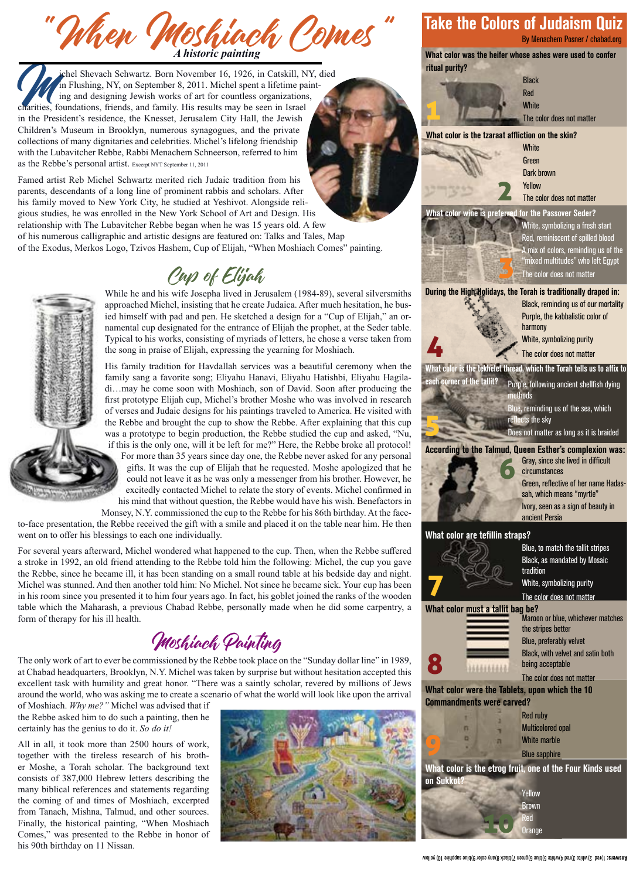When *Woshinch Comes* " Take the Colors of Judaism Quin By Menachem Posner / chabad.or<br>A *historic painting* A *historic painting* 

ichel Shevach Schwartz. Born November 16, 1926, in Catskill, NY, died in Flushing, NY, on September 8, 2011. Michel spent a lifetime painting and designing Jewish works of art for countless organizations, charities, foundations, friends, and family. His results may be seen in Israel in the President's residence, the Knesset, Jerusalem City Hall, the Jewish Children's Museum in Brooklyn, numerous synagogues, and the private collections of many dignitaries and celebrities. Michel's lifelong friendship with the Lubavitcher Rebbe, Rabbi Menachem Schneerson, referred to him as the Rebbe's personal artist. Excerpt NYT September 11, 2011

Famed artist Reb Michel Schwartz merited rich Judaic tradition from his parents, descendants of a long line of prominent rabbis and scholars. After his family moved to New York City, he studied at Yeshivot. Alongside religious studies, he was enrolled in the New York School of Art and Design. His relationship with The Lubavitcher Rebbe began when he was 15 years old. A few of his numerous calligraphic and artistic designs are featured on: Talks and Tales, Map of the Exodus, Merkos Logo, Tzivos Hashem, Cup of Elijah, "When Moshiach Comes" painting.

## Cup of Elijah



While he and his wife Josepha lived in Jerusalem (1984-89), several silversmiths approached Michel, insisting that he create Judaica. After much hesitation, he busied himself with pad and pen. He sketched a design for a "Cup of Elijah," an ornamental cup designated for the entrance of Elijah the prophet, at the Seder table. Typical to his works, consisting of myriads of letters, he chose a verse taken from the song in praise of Elijah, expressing the yearning for Moshiach.

His family tradition for Havdallah services was a beautiful ceremony when the family sang a favorite song; Eliyahu Hanavi, Eliyahu Hatishbi, Eliyahu Hagiladi…may he come soon with Moshiach, son of David. Soon after producing the first prototype Elijah cup, Michel's brother Moshe who was involved in research of verses and Judaic designs for his paintings traveled to America. He visited with the Rebbe and brought the cup to show the Rebbe. After explaining that this cup was a prototype to begin production, the Rebbe studied the cup and asked, "Nu, if this is the only one, will it be left for me?" Here, the Rebbe broke all protocol! For more than 35 years since day one, the Rebbe never asked for any personal gifts. It was the cup of Elijah that he requested. Moshe apologized that he could not leave it as he was only a messenger from his brother. However, he excitedly contacted Michel to relate the story of events. Michel confirmed in his mind that without question, the Rebbe would have his wish. Benefactors in

Monsey, N.Y. commissioned the cup to the Rebbe for his 86th birthday. At the faceto-face presentation, the Rebbe received the gift with a smile and placed it on the table near him. He then went on to offer his blessings to each one individually.

For several years afterward, Michel wondered what happened to the cup. Then, when the Rebbe suffered a stroke in 1992, an old friend attending to the Rebbe told him the following: Michel, the cup you gave the Rebbe, since he became ill, it has been standing on a small round table at his bedside day and night. Michel was stunned. And then another told him: No Michel. Not since he became sick. Your cup has been in his room since you presented it to him four years ago. In fact, his goblet joined the ranks of the wooden table which the Maharash, a previous Chabad Rebbe, personally made when he did some carpentry, a form of therapy for his ill health.

## Moshiach Painting

The only work of art to ever be commissioned by the Rebbe took place on the "Sunday dollar line" in 1989, at Chabad headquarters, Brooklyn, N.Y. Michel was taken by surprise but without hesitation accepted this excellent task with humility and great honor. "There was a saintly scholar, revered by millions of Jews around the world, who was asking me to create a scenario of what the world will look like upon the arrival

of Moshiach. *Why me?"* Michel was advised that if the Rebbe asked him to do such a painting, then he certainly has the genius to do it. *So do it!*

All in all, it took more than 2500 hours of work, together with the tireless research of his brother Moshe, a Torah scholar. The background text consists of 387,000 Hebrew letters describing the many biblical references and statements regarding the coming of and times of Moshiach, excerpted from Tanach, Mishna, Talmud, and other sources. Finally, the historical painting, "When Moshiach Comes," was presented to the Rebbe in honor of his 90th birthday on 11 Nissan.



### Take the Colors of Judaism Quiz

By Menachem Posner / chabad.org

ritual purity?





#### What color is the tzaraat affliction on the skin?



Green Dark brown Yellow The color does not matter

#### What color wine is preferred for the Passover Seder?



White, symbolizing a fresh start Red, reminiscent of spilled blood A mix of colors, reminding us of the "mixed multitudes" who left Egypt The color does not matter

During the High Holidays, the Torah is traditionally draped in:

Black, reminding us of our mortality Purple, the kabbalistic color of harmony White, symbolizing purity The color does not matter

## $\mathbf r$  is the tekhelet thread, which the Torah tells us to affix to 4

er of the tallit? Purple, following ancient shellfish dying ethods

> Blue, reminding us of the sea, which ects the sky

Does not matter as long as it is braided

#### According to the Talmud, Queen Esther's complexion was:

Gray, since she lived in difficult circumstances Green, reflective of her name Hadassah, which means "myrtle" Ivory, seen as a sign of beauty in ancient Persia 6

#### What color are tefillin straps?

5